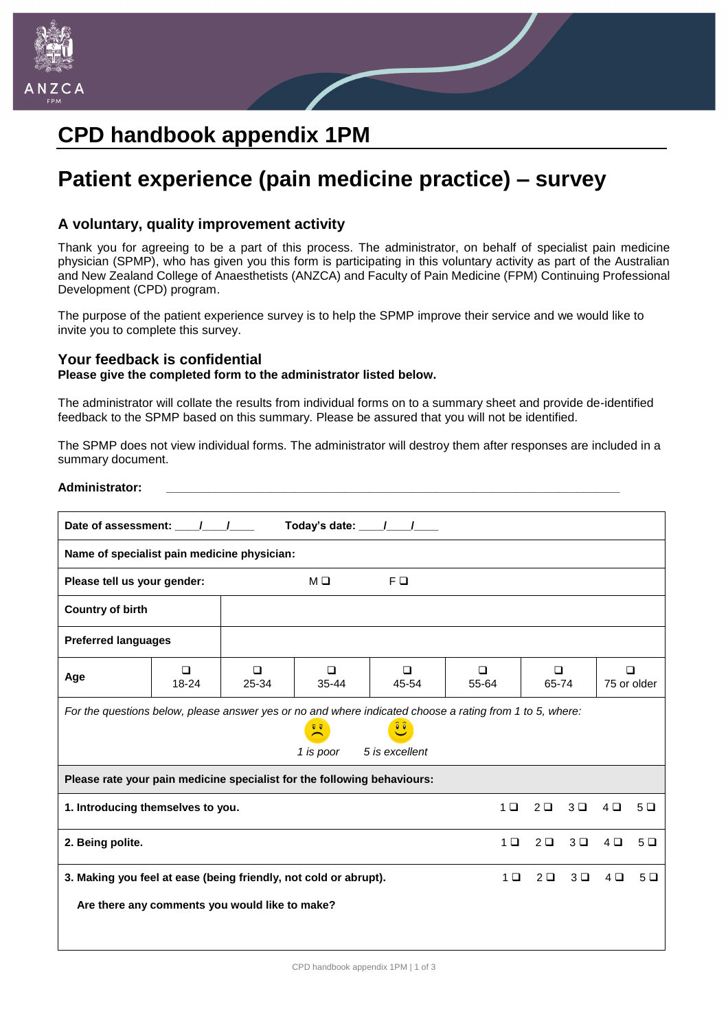

## **CPD handbook appendix 1PM**

# **Patient experience (pain medicine practice) – survey**

## **A voluntary, quality improvement activity**

Thank you for agreeing to be a part of this process. The administrator, on behalf of specialist pain medicine physician (SPMP), who has given you this form is participating in this voluntary activity as part of the Australian and New Zealand College of Anaesthetists (ANZCA) and Faculty of Pain Medicine (FPM) Continuing Professional Development (CPD) program.

The purpose of the patient experience survey is to help the SPMP improve their service and we would like to invite you to complete this survey.

### **Your feedback is confidential**

#### **Please give the completed form to the administrator listed below.**

The administrator will collate the results from individual forms on to a summary sheet and provide de-identified feedback to the SPMP based on this summary. Please be assured that you will not be identified.

The SPMP does not view individual forms. The administrator will destroy them after responses are included in a summary document.

#### **Administrator: \_\_\_\_\_\_\_\_\_\_\_\_\_\_\_\_\_\_\_\_\_\_\_\_\_\_\_\_\_\_\_\_\_\_\_\_\_\_\_\_\_\_\_\_\_\_\_\_\_\_\_\_\_\_\_\_\_\_\_\_\_\_\_\_\_\_\_\_\_\_\_\_\_\_**

| Today's date: $\frac{1}{\sqrt{1-\frac{1}{2}}}}$                                                                                                                                                             |                     |                 |                     |                 |                 |                     |         |                       |         |  |  |  |  |
|-------------------------------------------------------------------------------------------------------------------------------------------------------------------------------------------------------------|---------------------|-----------------|---------------------|-----------------|-----------------|---------------------|---------|-----------------------|---------|--|--|--|--|
| Name of specialist pain medicine physician:                                                                                                                                                                 |                     |                 |                     |                 |                 |                     |         |                       |         |  |  |  |  |
| Please tell us your gender:                                                                                                                                                                                 |                     |                 | MО                  | F <sub>0</sub>  |                 |                     |         |                       |         |  |  |  |  |
| <b>Country of birth</b>                                                                                                                                                                                     |                     |                 |                     |                 |                 |                     |         |                       |         |  |  |  |  |
| <b>Preferred languages</b>                                                                                                                                                                                  |                     |                 |                     |                 |                 |                     |         |                       |         |  |  |  |  |
| Age                                                                                                                                                                                                         | $\Box$<br>$18 - 24$ | $\Box$<br>25-34 | $\Box$<br>$35 - 44$ | $\Box$<br>45-54 | $\Box$<br>55-64 | $\Box$<br>65-74     |         | $\Box$<br>75 or older |         |  |  |  |  |
| For the questions below, please answer yes or no and where indicated choose a rating from 1 to 5, where:<br>$\widehat{\bullet}$<br>$\frac{\widehat{v} \cdot \widehat{v}}{2}$<br>5 is excellent<br>1 is poor |                     |                 |                     |                 |                 |                     |         |                       |         |  |  |  |  |
| Please rate your pain medicine specialist for the following behaviours:                                                                                                                                     |                     |                 |                     |                 |                 |                     |         |                       |         |  |  |  |  |
| 1. Introducing themselves to you.                                                                                                                                                                           |                     |                 |                     |                 |                 | $2\Box$             | $3\Box$ | $4\Box$               | 5Q      |  |  |  |  |
| 2. Being polite.                                                                                                                                                                                            |                     |                 |                     |                 |                 | $2\Box$             | $3\Box$ | $4\Box$               | $5\Box$ |  |  |  |  |
| 3. Making you feel at ease (being friendly, not cold or abrupt).                                                                                                                                            |                     |                 |                     |                 |                 | $2\Box$<br>$1 \Box$ | $3\Box$ | $4\Box$               | $5\Box$ |  |  |  |  |
| Are there any comments you would like to make?                                                                                                                                                              |                     |                 |                     |                 |                 |                     |         |                       |         |  |  |  |  |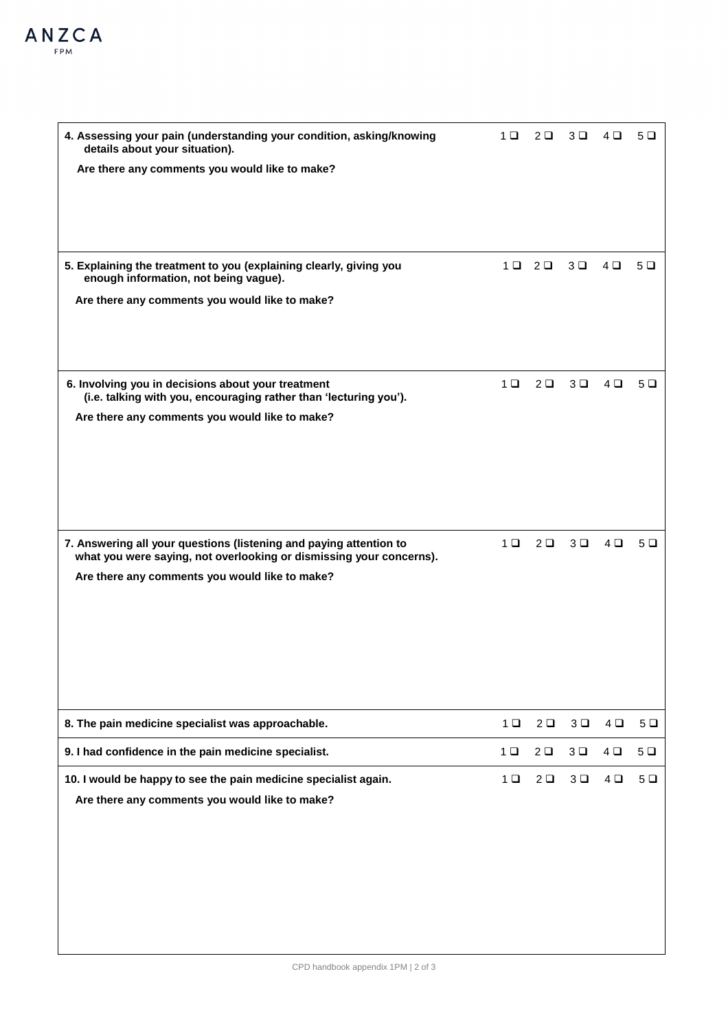| 4. Assessing your pain (understanding your condition, asking/knowing<br>details about your situation).                  | 1 □            | $2\Box$                 | $3\Box$        | $4\Box$ | 5Q |
|-------------------------------------------------------------------------------------------------------------------------|----------------|-------------------------|----------------|---------|----|
| Are there any comments you would like to make?                                                                          |                |                         |                |         |    |
|                                                                                                                         |                |                         |                |         |    |
|                                                                                                                         |                |                         |                |         |    |
| 5. Explaining the treatment to you (explaining clearly, giving you                                                      |                | $1 \square$ $2 \square$ | 3 <sup>D</sup> | $4\Box$ | 5Q |
| enough information, not being vague).                                                                                   |                |                         |                |         |    |
| Are there any comments you would like to make?                                                                          |                |                         |                |         |    |
|                                                                                                                         |                |                         |                |         |    |
|                                                                                                                         |                |                         |                |         |    |
| 6. Involving you in decisions about your treatment<br>(i.e. talking with you, encouraging rather than 'lecturing you'). | 1 <sup>0</sup> | $2\Box$                 | $3\Box$        | $4\Box$ | 5Q |
| Are there any comments you would like to make?                                                                          |                |                         |                |         |    |
|                                                                                                                         |                |                         |                |         |    |
|                                                                                                                         |                |                         |                |         |    |
|                                                                                                                         |                |                         |                |         |    |
| 7. Answering all your questions (listening and paying attention to                                                      | $1 \Box$       | $2\Box$                 | $3\Box$        | $4\Box$ | 5Q |
| what you were saying, not overlooking or dismissing your concerns).<br>Are there any comments you would like to make?   |                |                         |                |         |    |
|                                                                                                                         |                |                         |                |         |    |
|                                                                                                                         |                |                         |                |         |    |
|                                                                                                                         |                |                         |                |         |    |
|                                                                                                                         |                |                         |                |         |    |
|                                                                                                                         |                |                         |                |         |    |
| 8. The pain medicine specialist was approachable.                                                                       | $1$ $\Box$     | 2 <sup>D</sup>          | 3 <sup>D</sup> | $4\Box$ | 5Q |
| 9. I had confidence in the pain medicine specialist.                                                                    | 1 <sub>0</sub> | 2 <sub>0</sub>          | 3 <sup>D</sup> | $4\Box$ | 5Q |
| 10. I would be happy to see the pain medicine specialist again.<br>Are there any comments you would like to make?       | 1 <sub>0</sub> | 2 <sub>0</sub>          | $3$ $\square$  | $4\Box$ | 5Q |
|                                                                                                                         |                |                         |                |         |    |
|                                                                                                                         |                |                         |                |         |    |
|                                                                                                                         |                |                         |                |         |    |
|                                                                                                                         |                |                         |                |         |    |
|                                                                                                                         |                |                         |                |         |    |
|                                                                                                                         |                |                         |                |         |    |